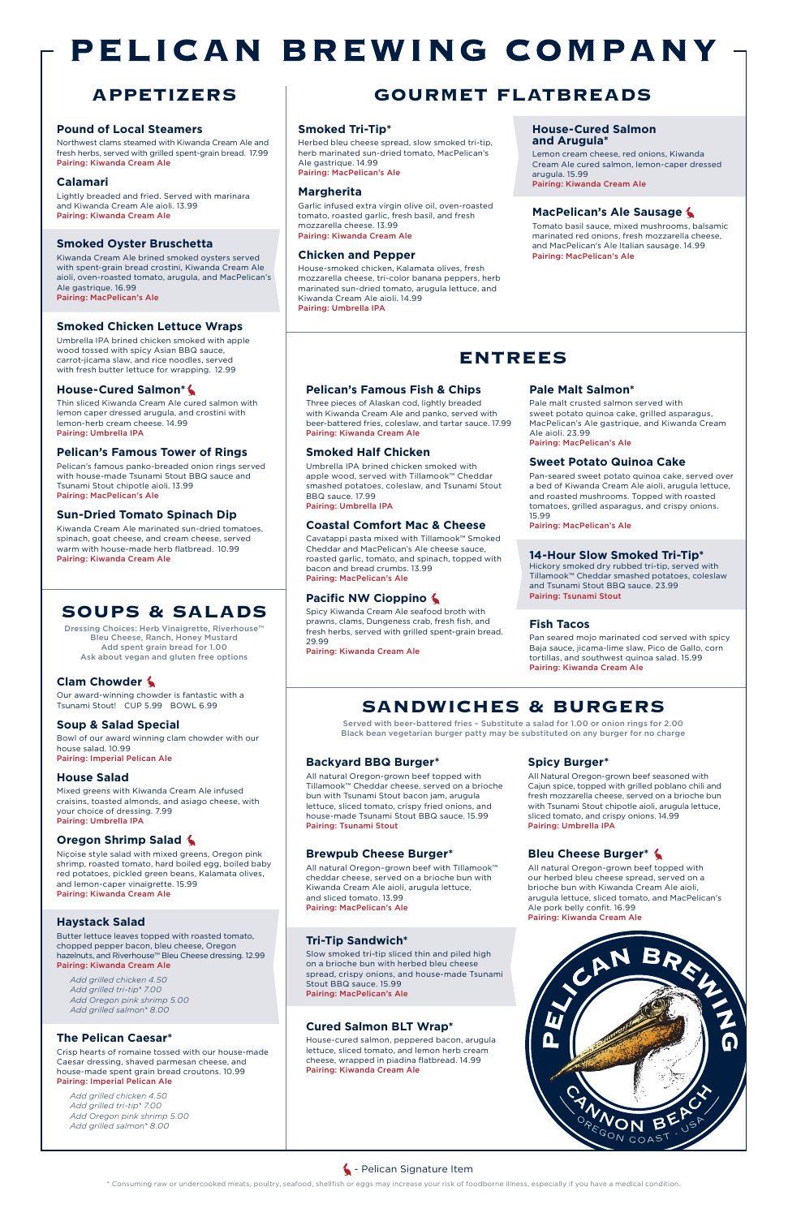\* Consuming raw or undercooked meats, poultry, seafood, shellfish or eggs may increase your risk of foodborne illness, especially if you have a medical condition.

# PELICAN BREWING COMPANY

#### **Pound of Local Steamers**

Northwest clams steamed with Kiwanda Cream Ale and fresh herbs, served with grilled spent-grain bread. 17.99 Pairing: Kiwanda Cream Ale

#### **Calamari**

Lightly breaded and fried. Served with marinara and Kiwanda Cream Ale aioli. 13.99 Pairing: Kiwanda Cream Ale

#### **Smoked Oyster Bruschetta**

Kiwanda Cream Ale brined smoked oysters served with spent-grain bread crostini, Kiwanda Cream Ale aioli, oven-roasted tomato, arugula, and MacPelican's Ale gastrique. 16.99 Pairing: MacPelican's Ale

#### **Smoked Chicken Lettuce Wraps**

Umbrella IPA brined chicken smoked with apple wood tossed with spicy Asian BBQ sauce, carrot-jicama slaw, and rice noodles, served with fresh butter lettuce for wrapping. 12.99

#### **House-Cured Salmon\***

Thin sliced Kiwanda Cream Ale cured salmon with lemon caper dressed arugula, and crostini with lemon-herb cream cheese. 14.99 Pairing: Umbrella IPA

#### **Pelican's Famous Tower of Rings**

Pelican's famous panko-breaded onion rings served with house-made Tsunami Stout BBQ sauce and Tsunami Stout chipotle aioli. 13.99 Pairing: MacPelican's Ale

#### **Sun-Dried Tomato Spinach Dip**

Kiwanda Cream Ale marinated sun-dried tomatoes, spinach, goat cheese, and cream cheese, served warm with house-made herb flatbread. 10.99 Pairing: Kiwanda Cream Ale

#### **Pelican's Famous Fish & Chips**

Three pieces of Alaskan cod, lightly breaded with Kiwanda Cream Ale and panko, served with beer-battered fries, coleslaw, and tartar sauce. 17.99 Pairing: Kiwanda Cream Ale

#### **Smoked Half Chicken**

Umbrella IPA brined chicken smoked with apple wood, served with Tillamook™ Cheddar smashed potatoes, coleslaw, and Tsunami Stout BBQ sauce. 17.99 Pairing: Umbrella IPA

#### **Coastal Comfort Mac & Cheese**

Cavatappi pasta mixed with Tillamook™ Smoked Cheddar and MacPelican's Ale cheese sauce, roasted garlic, tomato, and spinach, topped with bacon and bread crumbs. 13.99 Pairing: MacPelican's Ale

#### **Pacific NW Cioppino**

Spicy Kiwanda Cream Ale seafood broth with prawns, clams, Dungeness crab, fresh fish, and fresh herbs, served with grilled spent-grain bread. 29.99

Pairing: Kiwanda Cream Ale

### **Pale Malt Salmon\***

Pale malt crusted salmon served with sweet potato quinoa cake, grilled asparagus, MacPelican's Ale gastrique, and Kiwanda Cream Ale aioli. 23.99 Pairing: MacPelican's Ale

#### **Sweet Potato Quinoa Cake**

Pan-seared sweet potato quinoa cake, served over a bed of Kiwanda Cream Ale aioli, arugula lettuce, and roasted mushrooms. Topped with roasted tomatoes, grilled asparagus, and crispy onions. 15.99

Pairing: MacPelican's Ale

#### **14-Hour Slow Smoked Tri-Tip\***

Hickory smoked dry rubbed tri-tip, served with Tillamook™ Cheddar smashed potatoes, coleslaw and Tsunami Stout BBQ sauce. 23.99 Pairing: Tsunami Stout

#### **Fish Tacos**

Pan seared mojo marinated cod served with spicy Baja sauce, jicama-lime slaw, Pico de Gallo, corn tortillas, and southwest quinoa salad. 15.99 Pairing: Kiwanda Cream Ale

Served with beer-battered fries – Substitute a salad for 1.00 or onion rings for 2.00 Black bean vegetarian burger patty may be substituted on any burger for no charge

#### **Backyard BBQ Burger\***

All natural Oregon-grown beef topped with Tillamook™ Cheddar cheese, served on a brioche bun with Tsunami Stout bacon jam, arugula lettuce, sliced tomato, crispy fried onions, and house-made Tsunami Stout BBQ sauce. 15.99 Pairing: Tsunami Stout

Dressing Choices: Herb Vinaigrette, Riverhouse™ Bleu Cheese, Ranch, Honey Mustard Add spent grain bread for 1.00 Ask about vegan and gluten free options

#### **Brewpub Cheese Burger\***

All natural Oregon–grown beef with Tillamook™ cheddar cheese, served on a brioche bun with Kiwanda Cream Ale aioli, arugula lettuce,

and sliced tomato. 13.99 Pairing: MacPelican's Ale

#### **Tri-Tip Sandwich\***

Slow smoked tri-tip sliced thin and piled high on a brioche bun with herbed bleu cheese spread, crispy onions, and house-made Tsunami Stout BBQ sauce. 15.99 Pairing: MacPelican's Ale

#### **Cured Salmon BLT Wrap\***

House-cured salmon, peppered bacon, arugula lettuce, sliced tomato, and lemon herb cream cheese, wrapped in piadina flatbread. 14.99 Pairing: Kiwanda Cream Ale

#### **Spicy Burger\***

All Natural Oregon-grown beef seasoned with Cajun spice, topped with grilled poblano chili and fresh mozzarella cheese, served on a brioche bun with Tsunami Stout chipotle aioli, arugula lettuce, sliced tomato, and crispy onions. 14.99 Pairing: Umbrella IPA

#### **Bleu Cheese Burger\***

All natural Oregon-grown beef topped with our herbed bleu cheese spread, served on a brioche bun with Kiwanda Cream Ale aioli,

arugula lettuce, sliced tomato, and MacPelican's Ale pork belly confit. 16.99 Pairing: Kiwanda Cream Ale



#### **4** - Pelican Signature Item

## **ENTREES**

## **SANDWICHES & BURGERS**

#### **Smoked Tri-Tip\***

Herbed bleu cheese spread, slow smoked tri-tip, herb marinated sun-dried tomato, MacPelican's Ale gastrique. 14.99 Pairing: MacPelican's Ale

#### **Margherita**

Garlic infused extra virgin olive oil, oven-roasted tomato, roasted garlic, fresh basil, and fresh mozzarella cheese. 13.99 Pairing: Kiwanda Cream Ale

#### **Chicken and Pepper**

House-smoked chicken, Kalamata olives, fresh mozzarella cheese, tri-color banana peppers, herb marinated sun-dried tomato, arugula lettuce, and Kiwanda Cream Ale aioli. 14.99 Pairing: Umbrella IPA

#### **House-Cured Salmon and Arugula\***

Lemon cream cheese, red onions, Kiwanda Cream Ale cured salmon, lemon-caper dressed arugula. 15.99 Pairing: Kiwanda Cream Ale

#### **MacPelican's Ale Sausage**

Tomato basil sauce, mixed mushrooms, balsamic marinated red onions, fresh mozzarella cheese, and MacPelican's Ale Italian sausage. 14.99 Pairing: MacPelican's Ale

## **APPETIZERS GOURMET FLATBREADS**

#### **Clam Chowder**

Our award-winning chowder is fantastic with a Tsunami Stout! CUP 5.99 BOWL 6.99

#### **Soup & Salad Special**

Bowl of our award winning clam chowder with our house salad. 10.99 Pairing: Imperial Pelican Ale

#### **House Salad**

Mixed greens with Kiwanda Cream Ale infused craisins, toasted almonds, and asiago cheese, with your choice of dressing. 7.99 Pairing: Umbrella IPA

#### **Oregon Shrimp Salad**

Niçoise style salad with mixed greens, Oregon pink shrimp, roasted tomato, hard boiled egg, boiled baby red potatoes, pickled green beans, Kalamata olives, and lemon-caper vinaigrette. 15.99

#### Pairing: Kiwanda Cream Ale

#### **Haystack Salad**

Butter lettuce leaves topped with roasted tomato, chopped pepper bacon, bleu cheese, Oregon hazelnuts, and Riverhouse™ Bleu Cheese dressing. 12.99 Pairing: Kiwanda Cream Ale

*Add grilled chicken 4.50 Add grilled tri-tip\* 7.00 Add Oregon pink shrimp 5.00 Add grilled salmon\* 8.00* 

#### **The Pelican Caesar\***

Crisp hearts of romaine tossed with our house-made Caesar dressing, shaved parmesan cheese, and house-made spent grain bread croutons. 10.99 Pairing: Imperial Pelican Ale

*Add grilled chicken 4.50 Add grilled tri-tip\* 7.00 Add Oregon pink shrimp 5.00 Add grilled salmon\* 8.00*

## **SOUPS & SALADS**